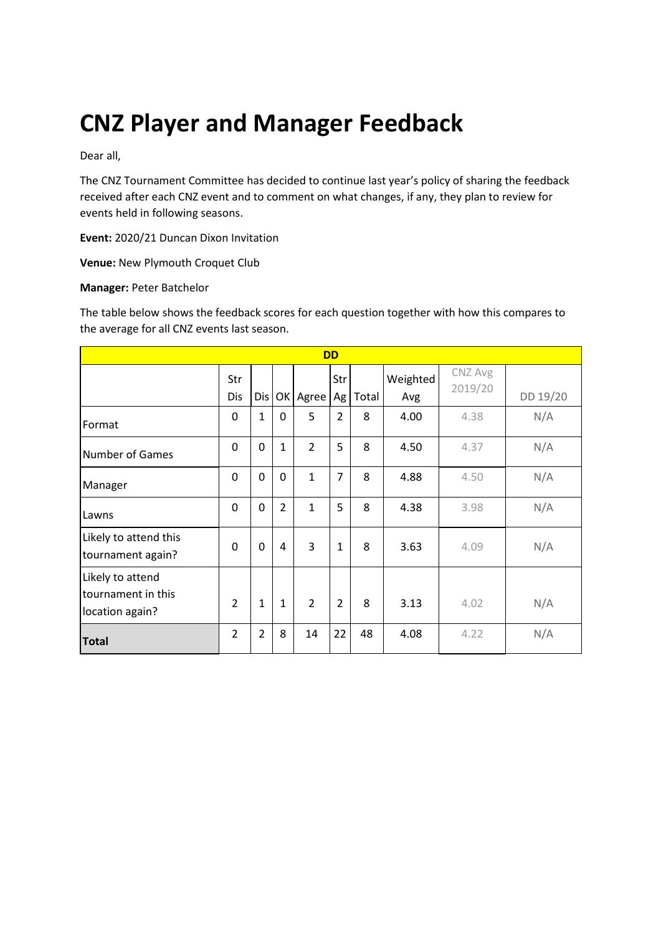# **CNZ Player and Manager Feedback**

Dear all,

The CNZ Tournament Committee has decided to continue last year's policy of sharing the feedback received after each CNZ event and to comment on what changes, if any, they plan to review for events held in following seasons.

**Event:** 2020/21 Duncan Dixon Invitation

**Venue:** New Plymouth Croquet Club

#### **Manager:** Peter Batchelor

The table below shows the feedback scores for each question together with how this compares to the average for all CNZ events last season.

| <b>DD</b>                                                 |                |                |                |                |                |       |                 |                    |          |
|-----------------------------------------------------------|----------------|----------------|----------------|----------------|----------------|-------|-----------------|--------------------|----------|
|                                                           | Str<br>Dis     | Dis            |                | OK Agree       | Str<br>Ag      | Total | Weighted<br>Avg | CNZ Avg<br>2019/20 | DD 19/20 |
| Format                                                    | 0              | $\mathbf{1}$   | 0              | 5              | $\overline{2}$ | 8     | 4.00            | 4.38               | N/A      |
| <b>Number of Games</b>                                    | $\Omega$       | $\Omega$       | 1              | $\overline{2}$ | 5              | 8     | 4.50            | 4.37               | N/A      |
| Manager                                                   | 0              | $\overline{0}$ | $\mathbf 0$    | $\mathbf{1}$   | $\overline{7}$ | 8     | 4.88            | 4.50               | N/A      |
| Lawns                                                     | 0              | 0              | $\overline{2}$ | $\mathbf{1}$   | 5              | 8     | 4.38            | 3.98               | N/A      |
| Likely to attend this<br>tournament again?                | $\Omega$       | 0              | 4              | 3              | $\mathbf{1}$   | 8     | 3.63            | 4.09               | N/A      |
| Likely to attend<br>tournament in this<br>location again? | $\overline{2}$ | $\mathbf{1}$   | $\mathbf{1}$   | $\overline{2}$ | $\overline{2}$ | 8     | 3.13            | 4.02               | N/A      |
| <b>Total</b>                                              | $\overline{2}$ | $\overline{2}$ | 8              | 14             | 22             | 48    | 4.08            | 4.22               | N/A      |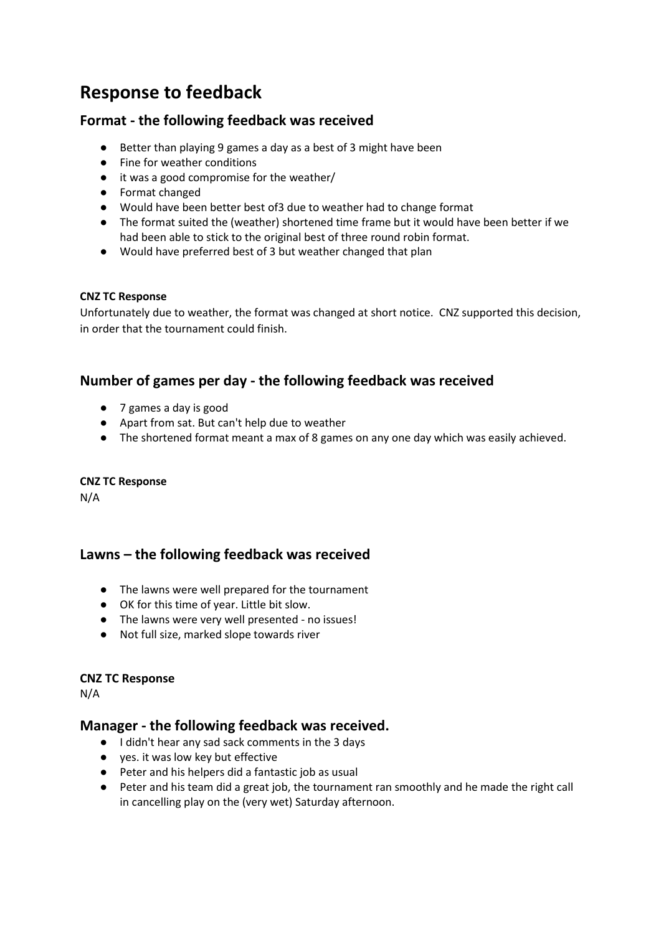# **Response to feedback**

# **Format - the following feedback was received**

- Better than playing 9 games a day as a best of 3 might have been
- Fine for weather conditions
- it was a good compromise for the weather/
- Format changed
- Would have been better best of3 due to weather had to change format
- The format suited the (weather) shortened time frame but it would have been better if we had been able to stick to the original best of three round robin format.
- Would have preferred best of 3 but weather changed that plan

### **CNZ TC Response**

Unfortunately due to weather, the format was changed at short notice. CNZ supported this decision, in order that the tournament could finish.

# **Number of games per day - the following feedback was received**

- 7 games a day is good
- Apart from sat. But can't help due to weather
- The shortened format meant a max of 8 games on any one day which was easily achieved.

### **CNZ TC Response**

N/A

# **Lawns – the following feedback was received**

- The lawns were well prepared for the tournament
- OK for this time of year. Little bit slow.
- The lawns were very well presented no issues!
- Not full size, marked slope towards river

### **CNZ TC Response**

N/A

## **Manager - the following feedback was received.**

- I didn't hear any sad sack comments in the 3 days
- yes. it was low key but effective
- Peter and his helpers did a fantastic job as usual
- Peter and his team did a great job, the tournament ran smoothly and he made the right call in cancelling play on the (very wet) Saturday afternoon.